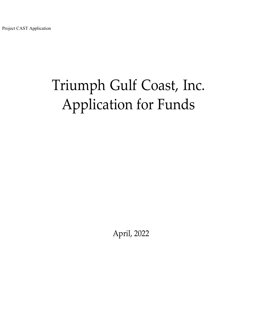# Triumph Gulf Coast, Inc. Application for Funds

April, 2022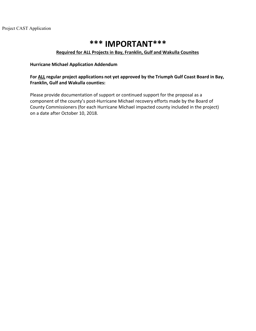## **\*\*\* IMPORTANT\*\*\***

#### **Required for ALL Projects in Bay, Franklin, Gulf and Wakulla Counites**

#### **Hurricane Michael Application Addendum**

#### **For ALL regular project applications not yet approved by the Triumph Gulf Coast Board in Bay, Franklin, Gulf and Wakulla counties:**

Please provide documentation of support or continued support for the proposal as a component of the county's post-Hurricane Michael recovery efforts made by the Board of County Commissioners (for each Hurricane Michael impacted county included in the project) on a date after October 10, 2018.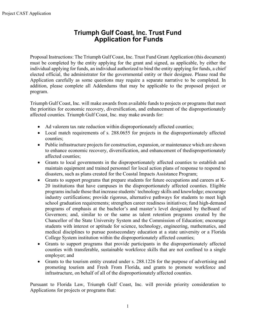### **Triumph Gulf Coast, Inc. Trust Fund Application for Funds**

Proposal Instructions: The Triumph Gulf Coast, Inc. Trust Fund Grant Application (this document) must be completed by the entity applying for the grant and signed, as applicable, by either the individual applying for funds, an individual authorized to bind the entity applying for funds, a chief elected official, the administrator for the governmental entity or their designee. Please read the Application carefully as some questions may require a separate narrative to be completed. In addition, please complete all Addendums that may be applicable to the proposed project or program.

Triumph Gulf Coast, Inc. will make awards from available funds to projects or programs that meet the priorities for economic recovery, diversification, and enhancement of the disproportionately affected counties. Triumph Gulf Coast, Inc. may make awards for:

- Ad valorem tax rate reduction within disproportionately affected counties;
- Local match requirements of s. 288.0655 for projects in the disproportionately affected counties;
- Public infrastructure projects for construction, expansion, or maintenance which are shown to enhance economic recovery, diversification, and enhancement of thedisproportionately affected counties;
- Grants to local governments in the disproportionately affected counties to establish and maintain equipment and trained personnel for local action plans of response to respond to disasters, such as plans created for the Coastal Impacts Assistance Program;
- Grants to support programs that prepare students for future occupations and careers at K-20 institutions that have campuses in the disproportionately affected counties. Eligible programs include those that increase students' technology skills and knowledge; encourage industry certifications; provide rigorous, alternative pathways for students to meet high school graduation requirements; strengthen career readiness initiatives; fund high-demand programs of emphasis at the bachelor's and master's level designated by theBoard of Governors; and, similar to or the same as talent retention programs created by the Chancellor of the State University System and the Commission of Education; encourage students with interest or aptitude for science, technology, engineering, mathematics, and medical disciplines to pursue postsecondary education at a state university or a Florida College System institution within the disproportionately affected counties;
- Grants to support programs that provide participants in the disproportionately affected counties with transferable, sustainable workforce skills that are not confined to a single employer; and
- Grants to the tourism entity created under s. 288.1226 for the purpose of advertising and promoting tourism and Fresh From Florida, and grants to promote workforce and infrastructure, on behalf of all of the disproportionately affected counties.

Pursuant to Florida Law, Triumph Gulf Coast, Inc. will provide priority consideration to Applications for projects or programs that: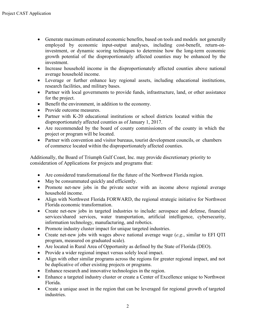- Generate maximum estimated economic benefits, based on tools and models not generally employed by economic input-output analyses, including cost-benefit, return-oninvestment, or dynamic scoring techniques to determine how the long-term economic growth potential of the disproportionately affected counties may be enhanced by the investment.
- Increase household income in the disproportionately affected counties above national average household income.
- Leverage or further enhance key regional assets, including educational institutions, research facilities, and military bases.
- Partner with local governments to provide funds, infrastructure, land, or other assistance for the project.
- Benefit the environment, in addition to the economy.
- Provide outcome measures.
- Partner with K-20 educational institutions or school districts located within the disproportionately affected counties as of January 1, 2017.
- Are recommended by the board of county commissioners of the county in which the project or program will be located.
- Partner with convention and visitor bureaus, tourist development councils, or chambers of commerce located within the disproportionately affected counties.

Additionally, the Board of Triumph Gulf Coast, Inc. may provide discretionary priority to consideration of Applications for projects and programs that:

- Are considered transformational for the future of the Northwest Florida region.
- May be consummated quickly and efficiently.
- Promote net-new jobs in the private sector with an income above regional average household income.
- Align with Northwest Florida FORWARD, the regional strategic initiative for Northwest Florida economic transformation.
- Create net-new jobs in targeted industries to include: aerospace and defense, financial services/shared services, water transportation, artificial intelligence, cybersecurity, information technology, manufacturing, and robotics.
- Promote industry cluster impact for unique targeted industries.
- Create net-new jobs with wages above national average wage (*e.g.*, similar to EFI QTI program, measured on graduated scale).
- Are located in Rural Area of Opportunity as defined by the State of Florida (DEO).
- Provide a wider regional impact versus solely local impact.
- Align with other similar programs across the regions for greater regional impact, and not be duplicative of other existing projects or programs.
- Enhance research and innovative technologies in the region.
- Enhance a targeted industry cluster or create a Center of Excellence unique to Northwest Florida.
- Create a unique asset in the region that can be leveraged for regional growth of targeted industries.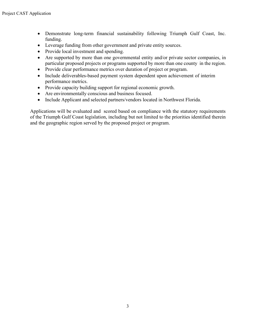- Demonstrate long-term financial sustainability following Triumph Gulf Coast, Inc. funding.
- Leverage funding from other government and private entity sources.
- Provide local investment and spending.
- Are supported by more than one governmental entity and/or private sector companies, in particular proposed projects or programs supported by more than one county in the region.
- Provide clear performance metrics over duration of project or program.
- Include deliverables-based payment system dependent upon achievement of interim performance metrics.
- Provide capacity building support for regional economic growth.
- Are environmentally conscious and business focused.
- Include Applicant and selected partners/vendors located in Northwest Florida.

Applications will be evaluated and scored based on compliance with the statutory requirements of the Triumph Gulf Coast legislation, including but not limited to the priorities identified therein and the geographic region served by the proposed project or program.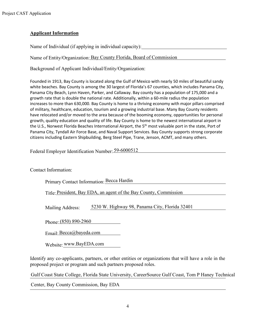#### **Applicant Information**

Name of Individual (if applying in individual capacity):

Name of Entity/Organization: Bay County Florida, Board of Commission

Background of Applicant Individual/Entity/Organization:

Founded in 1913, Bay County is located along the Gulf of Mexico with nearly 50 miles of beautiful sandy white beaches. Bay County is among the 30 largest of Florida's 67 counties, which includes Panama City, Panama City Beach, Lynn Haven, Parker, and Callaway. Bay county has a population of 175,000 and a growth rate that is double the national rate. Additionally, within a 60-mile radius the population increases to more than 630,000. Bay County is home to a thriving economy with major pillars comprised of military, healthcare, education, tourism and a growing industrial base. Many Bay County residents have relocated and/or moved to the area because of the booming economy, opportunities for personal growth, quality education and quality of life. Bay County is home to the newest international airport in the U.S., Norwest Florida Beaches International Airport, the 5<sup>th</sup> most valuable port in the state, Port of Panama City, Tyndall Air Force Base, and Naval Support Services. Bay County supports strong corporate citizens including Eastern Shipbuilding, Berg Steel Pipe, Trane, Jenson, ACMT, and many others.

Federal Employer Identification Number: 59-6000512

Contact Information:

Primary Contact Information: Becca Hardin

Title: President, Bay EDA, an agent of the Bay County, Commission

Mailing Address: 5230 W. Highway 98, Panama City, Florida 32401

Phone: (850) 890-2960

Email: [Becca@bayeda.com](mailto:Becca@bayeda.com)

Website: [www.BayEDA.com](http://www.bayeda.com/)

Identify any co-applicants, partners, or other entities or organizations that will have a role in the proposed project or program and such partners proposed roles.

Gulf Coast State College, Florida State University, CareerSource Gulf Coast, Tom P Haney Technical Center, Bay County Commission, Bay EDA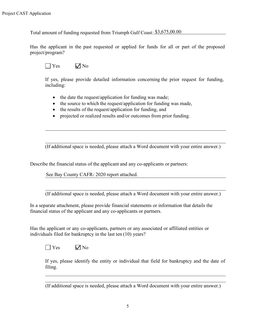Total amount of funding requested from Triumph Gulf Coast: \$3,675,00.00

Has the applicant in the past requested or applied for funds for all or part of the proposed project/program?

 $\Box$  Yes  $\Box$  No

If yes, please provide detailed information concerning the prior request for funding, including:

- the date the request/application for funding was made;
- the source to which the request/application for funding was made,
- the results of the request/application for funding, and
- projected or realized results and/or outcomes from prior funding.

(If additional space is needed, please attach a Word document with your entire answer.)

Describe the financial status of the applicant and any co-applicants or partners:

See Bay County CAFR- 2020 report attached.

(If additional space is needed, please attach a Word document with your entire answer.)

In a separate attachment, please provide financial statements or information that details the financial status of the applicant and any co-applicants or partners.

Has the applicant or any co-applicants, partners or any associated or affiliated entities or individuals filed for bankruptcy in the last ten (10) years?

 $\Box$  Yes  $\Box$  No

If yes, please identify the entity or individual that field for bankruptcy and the date of filing.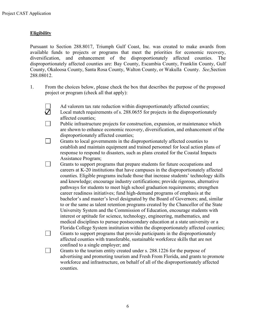#### **Eligibility**

П

Pursuant to Section 288.8017, Triumph Gulf Coast, Inc. was created to make awards from available funds to projects or programs that meet the priorities for economic recovery, diversification, and enhancement of the disproportionately affected counties. The disproportionately affected counties are: Bay County, Escambia County, Franklin County, Gulf County, Okaloosa County, Santa Rosa County, Walton County, or Wakulla County. *See*,Section 288.08012.

- 1. From the choices below, please check the box that describes the purpose of the proposed project or program (check all that apply):
	- Ad valorem tax rate reduction within disproportionately affected counties;
	- $\breve{\nabla}$ Local match requirements of s. 288.0655 for projects in the disproportionately affected counties;
	- $\Box$ Public infrastructure projects for construction, expansion, or maintenance which are shown to enhance economic recovery, diversification, and enhancement of the disproportionately affected counties;
	- $\Box$ Grants to local governments in the disproportionately affected counties to establish and maintain equipment and trained personnel for local action plans of response to respond to disasters, such as plans created for the Coastal Impacts Assistance Program;
	- $\mathbb{R}^n$ Grants to support programs that prepare students for future occupations and careers at K-20 institutions that have campuses in the disproportionately affected counties. Eligible programs include those that increase students' technology skills and knowledge; encourage industry certifications; provide rigorous, alternative pathways for students to meet high school graduation requirements; strengthen career readiness initiatives; fund high-demand programs of emphasis at the bachelor's and master's level designated by the Board of Governors; and, similar to or the same as talent retention programs created by the Chancellor of the State University System and the Commission of Education, encourage students with interest or aptitude for science, technology, engineering, mathematics, and medical disciplines to pursue postsecondary education at a state university or a Florida College System institution within the disproportionately affected counties;  $\Box$ Grants to support programs that provide participants in the disproportionately affected counties with transferable, sustainable workforce skills that are not confined to a single employer; and

Grants to the tourism entity created under s. 288.1226 for the purpose of advertising and promoting tourism and Fresh From Florida, and grants to promote workforce and infrastructure, on behalf of all of the disproportionately affected counties.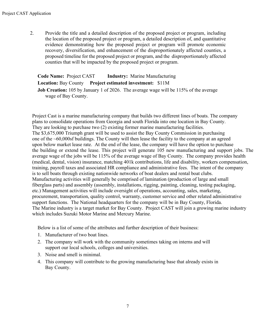2. Provide the title and a detailed description of the proposed project or program, including the location of the proposed project or program, a detailed description of, and quantitative evidence demonstrating how the proposed project or program will promote economic recovery, diversification, and enhancement of the disproportionately affected counties, a proposed timeline for the proposed project or program, and the disproportionately affected counties that will be impacted by the proposed project or program.

| <b>Code Name: Project CAST</b><br><b>Industry:</b> Marine Manufacturing                     |
|---------------------------------------------------------------------------------------------|
| <b>Location:</b> Bay County Project estimated investment: \$11M                             |
| <b>Job Creation:</b> 105 by January 1 of 2026. The average wage will be 115% of the average |
| wage of Bay County.                                                                         |

Project Cast is a marine manufacturing company that builds two different lines of boats. The company plans to consolidate operations from Georgia and south Florida into one location in Bay County. They are looking to purchase two (2) existing former marine manufacturing facilities. The \$3,675,000 Triumph grant will be used to assist the Bay County Commission in purchasing one of the ~60,000sf buildings. The County will then lease the facility to the company at an agreed upon below market lease rate. At the end of the lease, the company will have the option to purchase the building or extend the lease. This project will generate 105 new manufacturing and support jobs. The average wage of the jobs will be 115% of the average wage of Bay County. The company provides health (medical, dental, vision) insurance, matching 401k contributions, life and disability, workers compensation, training, payroll taxes and associated HR compliance and administrative fees. The intent of the company is to sell boats through existing nationwide networks of boat dealers and rental boat clubs. Manufacturing activities will generally be comprised of lamination (production of large and small fiberglass parts) and assembly (assembly, installations, rigging, painting, cleaning, testing packaging, etc.) Management activities will include oversight of operations, accounting, sales, marketing, procurement, transportation, quality control, warranty, customer service and other related administrative support functions. The National headquarters for the company will be in Bay County, Florida. The Marine industry is a target market for Bay County. Project CAST will join a growing marine industry which includes Suzuki Motor Marine and Mercury Marine.

Below is a list of some of the attributes and further description of their business:

- 1. Manufacturer of two boat lines.
- 2. The company will work with the community sometimes taking on interns and will support our local schools, colleges and universities.
- 3. Noise and smell is minimal.
- 4. This company will contribute to the growing manufacturing base that already exists in Bay County.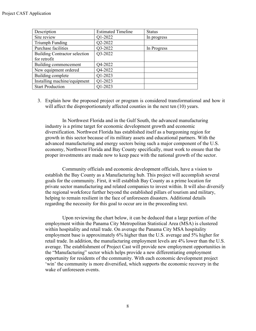| Description                          | <b>Estimated Timeline</b> | <b>Status</b> |
|--------------------------------------|---------------------------|---------------|
| Site review                          | Q1-2022                   | In progress   |
| Triumph Funding                      | Q2-2022                   |               |
| Purchase facilities                  | Q3-2022                   | In Progress   |
| <b>Building Contractor selection</b> | Q3-2022                   |               |
| for retrofit                         |                           |               |
| Building commencement                | Q4-2022                   |               |
| New equipment ordered                | Q4-2022                   |               |
| Building complete                    | Q1-2023                   |               |
| Installing machine/equipment         | Q1-2023                   |               |
| <b>Start Production</b>              | Q1-2023                   |               |

3. Explain how the proposed project or program is considered transformational and how it will affect the disproportionately affected counties in the next ten (10) years.

In Northwest Florida and in the Gulf South, the advanced manufacturing industry is a prime target for economic development growth and economic diversification. Northwest Florida has established itself as a burgeoning region for growth in this sector because of its military assets and educational partners. With the advanced manufacturing and energy sectors being such a major component of the U.S. economy, Northwest Florida and Bay County specifically, must work to ensure that the proper investments are made now to keep pace with the national growth of the sector.

Community officials and economic development officials, have a vision to establish the Bay County as a Manufacturing hub. This project will accomplish several goals for the community. First, it will establish Bay County as a prime location for private sector manufacturing and related companies to invest within. It will also diversify the regional workforce further beyond the established pillars of tourism and military, helping to remain resilient in the face of unforeseen disasters. Additional details regarding the necessity for this goal to occur are in the proceeding text.

Upon reviewing the chart below, it can be deduced that a large portion of the employment within the Panama City Metropolitan Statistical Area (MSA) is clustered within hospitality and retail trade. On average the Panama City MSA hospitality employment base is approximately 6% higher than the U.S. average and 5% higher for retail trade. In addition, the manufacturing employment levels are 4% lower than the U.S. average. The establishment of Project Cast will provide new employment opportunities in the "Manufacturing" sector which helps provide a new differentiating employment opportunity for residents of the community. With each economic development project 'win' the community is more diversified, which supports the economic recovery in the wake of unforeseen events.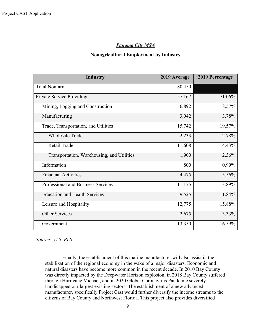#### *Panama City MSA*

#### **Nonagricultural Employment by Industry**

| <b>Industry</b>                            | 2019 Average | 2019 Percentage |
|--------------------------------------------|--------------|-----------------|
| <b>Total Nonfarm</b>                       | 80,450       |                 |
| Private Service Providing                  | 57,167       | 71.06%          |
| Mining, Logging and Construction           | 6,892        | 8.57%           |
| Manufacturing                              | 3,042        | 3.78%           |
| Trade, Transportation, and Utilities       | 15,742       | 19.57%          |
| <b>Wholesale Trade</b>                     | 2,233        | 2.78%           |
| Retail Trade                               | 11,608       | 14.43%          |
| Transportation, Warehousing, and Utilities | 1,900        | 2.36%           |
| Information                                | 800          | 0.99%           |
| <b>Financial Activities</b>                | 4,475        | 5.56%           |
| Professional and Business Services         | 11,175       | 13.89%          |
| <b>Education and Health Services</b>       | 9,525        | 11.84%          |
| Leisure and Hospitality                    | 12,775       | 15.88%          |
| <b>Other Services</b>                      | 2,675        | 3.33%           |
| Government                                 | 13,350       | 16.59%          |

*Source: U.S. BLS*

Finally, the establishment of this marine manufacturer will also assist in the stabilization of the regional economy in the wake of a major disasters. Economic and natural disasters have become more common in the recent decade. In 2010 Bay County was directly impacted by the Deepwater Horizon explosion, in 2018 Bay County suffered through Hurricane Michael, and in 2020 Global Coronavirus Pandemic severely handicapped our largest existing sectors. The establishment of a new advanced manufacturer, specifically Project Cast would further diversify the income streams to the citizens of Bay County and Northwest Florida. This project also provides diversified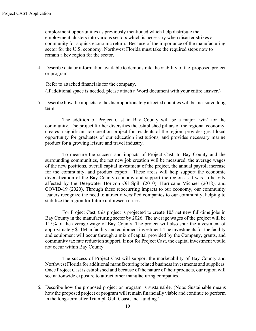employment opportunities as previously mentioned which help distribute the employment clusters into various sectors which is necessary when disaster strikes a community for a quick economic return. Because of the importance of the manufacturing sector for the U.S. economy, Northwest Florida must take the required steps now to remain a key region for the sector.

4. Describe data or information available to demonstrate the viability of the proposed project or program.

#### Refer to attached financials for the company.

(If additional space is needed, please attach a Word document with your entire answer.)

5. Describe how the impacts to the disproportionately affected counties will be measured long term.

The addition of Project Cast in Bay County will be a major 'win' for the community. The project further diversifies the established pillars of the regional economy, creates a significant job creation project for residents of the region, provides great local opportunity for graduates of our education institutions, and provides necessary marine product for a growing leisure and travel industry.

To measure the success and impacts of Project Cast, to Bay County and the surrounding communities, the net new job creation will be measured, the average wages of the new positions, overall capital investment of the project, the annual payroll increase for the community, and product export. These areas will help support the economic diversification of the Bay County economy and support the region as it was so heavily affected by the Deepwater Horizon Oil Spill (2010), Hurricane Michael (2018), and COVID-19 (2020). Through these reoccurring impacts to our economy, our community leaders recognize the need to attract diversified companies to our community, helping to stabilize the region for future unforeseen crises.

For Project Cast, this project is projected to create 105 net new full-time jobs in Bay County in the manufacturing sector by 2026. The average wages of the project will be 115% of the average wage of Bay County. The project will also spur the investment of approximately \$11M in facility and equipment investment. The investments for the facility and equipment will occur through a mix of capital provided by the Company, grants, and community tax rate reduction support. If not for Project Cast, the capital investment would not occur within Bay County.

The success of Project Cast will support the marketability of Bay County and Northwest Florida for additional manufacturing related business investments and suppliers. Once Project Cast is established and because of the nature of their products, our region will see nationwide exposure to attract other manufacturing companies.

6. Describe how the proposed project or program is sustainable. (Note: Sustainable means how the proposed project or program will remain financially viable and continue to perform in the long-term after Triumph Gulf Coast, Inc. funding.)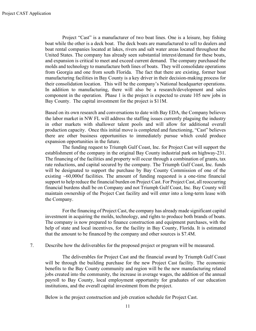Project "Cast" is a manufacturer of two boat lines. One is a leisure, bay fishing boat while the other is a deck boat. The deck boats are manufactured to sell to dealers and boat rental companies located at lakes, rivers and salt water areas located throughout the United States. The company has already seen substantial interest/demand for these boats, and expansion is critical to meet and exceed current demand. The company purchased the molds and technology to manufacture both lines of boats. They will consolidate operations from Georgia and one from south Florida. The fact that there are existing, former boat manufacturing facilities in Bay County is a key driver in their decision-making process for their consolidation location. This will be the company's National headquarter operations. In addition to manufacturing, there will also be a research/development and sales component in the operation. Phase 1 is the project is expected to create 105 new jobs in Bay County. The capital investment for the project is \$11M.

Based on its own research and conversations to date with Bay EDA, the Company believes the labor market in NW FL will address the staffing issues currently plaguing the industry in other markets with shallower talent pools and will allow for additional overall production capacity. Once this initial move is completed and functioning, "Cast" believes there are other business opportunities to immediately pursue which could produce expansion opportunities in the future.

The funding request to Triumph Gulf Coast, Inc. for Project Cast will support the establishment of the company in the original Bay County industrial park on highway-231. The financing of the facilities and property will occur through a combination of grants, tax rate reductions, and capital secured by the company. The Triumph Gulf Coast, Inc. funds will be designated to support the purchase by Bay County Commission of one of the existing  $~60,000$ sf facilities. The amount of funding requested is a one-time financial support to help reduce the financial burden on Project Cast. For Project Cast, all reoccurring financial burdens shall be on Company and not Triumph Gulf Coast, Inc. Bay County will maintain ownership of the Project Cast facility and will enter into a long-term lease with the Company.

 For the financing of Project Cast, the company has already made significant capital investment in acquiring the molds, technology, and rights to produce both brands of boats. The company is now prepared to finance construction and equipment purchases, with the help of state and local incentives, for the facility in Bay County, Florida. It is estimated that the amount to be financed by the company and other sources is \$7.4M.

7. Describe how the deliverables for the proposed project or program will be measured.

The deliverables for Project Cast and the financial award by Triumph Gulf Coast will be through the building purchase for the new Project Cast facility. The economic benefits to the Bay County community and region will be the new manufacturing related jobs created into the community, the increase in average wages, the addition of the annual payroll to Bay County, local employment opportunity for graduates of our education institutions, and the overall capital investment from the project.

Below is the project construction and job creation schedule for Project Cast.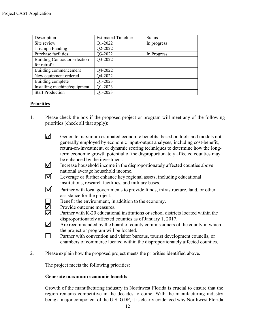| Description                          | <b>Estimated Timeline</b> | <b>Status</b> |
|--------------------------------------|---------------------------|---------------|
| Site review                          | Q1-2022                   | In progress   |
| Triumph Funding                      | Q2-2022                   |               |
| Purchase facilities                  | Q3-2022                   | In Progress   |
| <b>Building Contractor selection</b> | Q3-2022                   |               |
| for retrofit                         |                           |               |
| Building commencement                | Q4-2022                   |               |
| New equipment ordered                | Q4-2022                   |               |
| Building complete                    | Q1-2023                   |               |
| Installing machine/equipment         | Q1-2023                   |               |
| <b>Start Production</b>              | O1-2023                   |               |

#### **Priorities**

- 1. Please check the box if the proposed project or program will meet any of the following priorities (check all that apply):
	- $\overline{\mathcal{M}}$ Generate maximum estimated economic benefits, based on tools and models not generally employed by economic input-output analyses, including cost-benefit, return-on-investment, or dynamic scoring techniques to determine how the longterm economic growth potential of the disproportionately affected counties may be enhanced by the investment.
	- $\triangledown$ Increase household income in the disproportionately affected counties above national average household income.
	- $\overline{\mathsf{M}}$ Leverage or further enhance key regional assets, including educational institutions, research facilities, and military bases.
	- $\overline{\mathsf{M}}$ Partner with local governments to provide funds, infrastructure, land, or other assistance for the project.
		- Benefit the environment, in addition to the economy.
		- Provide outcome measures.
	- **EDS** Partner with K-20 educational institutions or school districts located within the disproportionately affected counties as of January 1, 2017.
	- $\overline{\mathcal{M}}$ Are recommended by the board of county commissioners of the county in which the project or program will be located.
	- $\Box$ Partner with convention and visitor bureaus, tourist development councils, or chambers of commerce located within the disproportionately affected counties.
- 2. Please explain how the proposed project meets the priorities identified above.

The project meets the following priorities:

#### **Generate maximum economic benefits**

Growth of the manufacturing industry in Northwest Florida is crucial to ensure that the region remains competitive in the decades to come. With the manufacturing industry being a major component of the U.S. GDP, it is clearly evidenced why Northwest Florida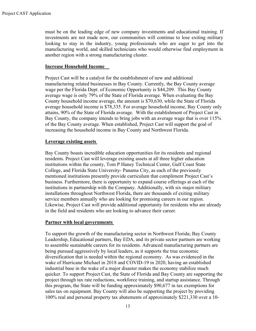must be on the leading edge of new company investments and educational training. If investments are not made now, our communities will continue to lose exiting military looking to stay in the industry, young professionals who are eager to get into the manufacturing world, and skilled technicians who would otherwise find employment in another region with a strong manufacturing cluster.

#### **Increase Household Income**

Project Cast will be a catalyst for the establishment of new and additional manufacturing related businesses in Bay County. Currently, the Bay County average wage per the Florida Dept. of Economic Opportunity is \$44,209. This Bay County average wage is only 79% of the State of Florida average. When evaluating the Bay County household income average, the amount is \$70,630, while the State of Florida average household income is \$78,335. For average household income, Bay County only attains, 90% of the State of Florida average. With the establishment of Project Cast in Bay County, the company intends to bring jobs with an average wage that is over 115% of the Bay County average. When established, Project Cast will support the goal of increasing the household income in Bay County and Northwest Florida.

#### **Leverage existing assets**

Bay County boasts incredible education opportunities for its residents and regional residents. Project Cast will leverage existing assets at all three higher education institutions within the county, Tom P Haney Technical Center, Gulf Coast State College, and Florida State University- Panama City, as each of the previously mentioned institutions presently provide curriculum that compliment Project Cast's business. Furthermore, there is opportunity to expand course offerings at each of the institutions in partnership with the Company. Additionally, with six major military installations throughout Northwest Florida, there are thousands of exiting military service members annually who are looking for promising careers in our region. Likewise, Project Cast will provide additional opportunity for residents who are already in the field and residents who are looking to advance their career.

#### **Partner with local governments**

To support the growth of the manufacturing sector in Northwest Florida; Bay County Leadership, Educational partners, Bay EDA, and its private sector partners are working to assemble sustainable careers for its residents. Advanced manufacturing partners are being pursued aggressively by local leaders, as it supports the true economic diversification that is needed within the regional economy. As was evidenced in the wake of Hurricane Michael in 2018 and COVID-19 in 2020, having an established industrial base in the wake of a major disaster makes the economy stabilize much quicker. To support Project Cast, the State of Florida and Bay County are supporting the project through tax rate reductions, workforce training, and startup assistance. Through this program, the State will be funding approximately \$90,677 in tax exemptions for sales tax on equipment. Bay County will also be supporting the project by providing 100% real and personal property tax abatements of approximately \$221,330 over a 10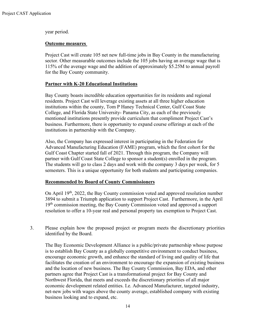year period.

#### **Outcome measures**

Project Cast will create 105 net new full-time jobs in Bay County in the manufacturing sector. Other measurable outcomes include the 105 jobs having an average wage that is 115% of the average wage and the addition of approximately \$5.25M to annual payroll for the Bay County community.

#### **Partner with K-20 Educational Institutions**

Bay County boasts incredible education opportunities for its residents and regional residents. Project Cast will leverage existing assets at all three higher education institutions within the county, Tom P Haney Technical Center, Gulf Coast State College, and Florida State University- Panama City, as each of the previously mentioned institutions presently provide curriculum that compliment Project Cast's business. Furthermore, there is opportunity to expand course offerings at each of the institutions in partnership with the Company.

Also, the Company has expressed interest in participating in the Federation for Advanced Manufacturing Education (FAME) program, which the first cohort for the Gulf Coast Chapter started fall of 2021. Through this program, the Company will partner with Gulf Coast State College to sponsor a student(s) enrolled in the program. The students will go to class 2 days and work with the company 3 days per week, for 5 semesters. This is a unique opportunity for both students and participating companies.

#### **Recommended by Board of County Commissioners**

On April 19th, 2022, the Bay County commission voted and approved resolution number 3894 to submit a Triumph application to support Project Cast. Furthermore, in the April 19<sup>th</sup> commission meeting, the Bay County Commission voted and approved a support resolution to offer a 10-year real and personal property tax exemption to Project Cast.

3. Please explain how the proposed project or program meets the discretionary priorities identified by the Board.

The Bay Economic Development Alliance is a public/private partnership whose purpose is to establish Bay County as a globally competitive environment to conduct business, encourage economic growth, and enhance the standard of living and quality of life that facilitates the creation of an environment to encourage the expansion of existing business and the location of new business. The Bay County Commission, Bay EDA, and other partners agree that Project Cast is a transformational project for Bay County and Northwest Florida, that meets and exceeds the discretionary priorities of all major economic development related entities. I.e. Advanced Manufacturer, targeted industry, net-new jobs with wages above the county average, established company with existing business looking and to expand, etc.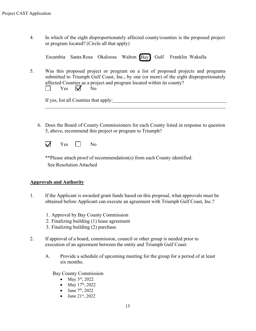4. In which of the eight disproportionately affected county/counties is the proposed project or program located? (Circle all that apply)

| Escambia Santa Rosa Okaloosa Walton Bay Gulf Franklin Wakulla |  |  |  |
|---------------------------------------------------------------|--|--|--|
|---------------------------------------------------------------|--|--|--|

5. Was this proposed project or program on a list of proposed projects and programs submitted to Triumph Gulf Coast, Inc., by one (or more) of the eight disproportionately affected Counties as a project and program located within its county? Yes  $\nabla$  No  $\Box$ 

If yes, list all Counties that apply:

6. Does the Board of County Commissioners for each County listed in response to question 5, above, recommend this project or program to Triumph?

 $\overline{\mathcal{M}}$  $Yes \t No$ 

\*\*Please attach proof of recommendation(s) from each County identified. See Resolution Attached

#### **Approvals and Authority**

- 1. If the Applicant is awarded grant funds based on this proposal, what approvals must be obtained before Applicant can execute an agreement with Triumph Gulf Coast, Inc.?
	- 1. Approval by Bay County Commission
	- 2. Finalizing building (1) lease agreement
	- 3. Finalizing building (2) purchase.
- 2. If approval of a board, commission, council or other group is needed prior to execution of an agreement between the entity and Triumph Gulf Coast:
	- A. Provide a schedule of upcoming meeting for the group for a period of at least six months.

Bay County Commission

- May  $3^{\text{rd}}$ , 2022
- May  $17^{th}$ , 2022
- June  $7<sup>th</sup>$ , 2022
- June  $21^{st}$ , 2022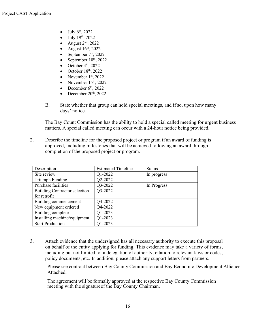- July 6th, 2022
- July 19th, 2022
- August 2nd, 2022
- August  $16<sup>th</sup>$ , 2022
- September  $7<sup>th</sup>$ , 2022
- September  $10^{th}$ , 2022
- October  $4<sup>th</sup>$ , 2022
- October  $18<sup>th</sup>$ , 2022
- November  $1<sup>st</sup>$ , 2022
- November  $15<sup>th</sup>$ , 2022
- December  $6<sup>th</sup>$ , 2022
- December 20<sup>th</sup>, 2022
- B. State whether that group can hold special meetings, and if so, upon how many days' notice.

The Bay Count Commission has the ability to hold a special called meeting for urgent business matters. A special called meeting can occur with a 24-hour notice being provided.

2. Describe the timeline for the proposed project or program if an award of funding is approved, including milestones that will be achieved following an award through completion of the proposed project or program.

| Description                          | <b>Estimated Timeline</b> | <b>Status</b> |
|--------------------------------------|---------------------------|---------------|
| Site review                          | Q1-2022                   | In progress   |
| Triumph Funding                      | Q2-2022                   |               |
| Purchase facilities                  | Q3-2022                   | In Progress   |
| <b>Building Contractor selection</b> | Q3-2022                   |               |
| for retrofit                         |                           |               |
| Building commencement                | Q4-2022                   |               |
| New equipment ordered                | Q4-2022                   |               |
| Building complete                    | Q1-2023                   |               |
| Installing machine/equipment         | Q1-2023                   |               |
| <b>Start Production</b>              | Q1-2023                   |               |

3. Attach evidence that the undersigned has all necessary authority to execute this proposal on behalf of the entity applying for funding. This evidence may take a variety of forms, including but not limited to: a delegation of authority, citation to relevant laws or codes, policy documents, etc. In addition, please attach any support letters from partners.

Please see contract between Bay County Commission and Bay Economic Development Alliance Attached.

The agreement will be formally approved at the respective Bay County Commission meeting with the signatureof the Bay County Chairman.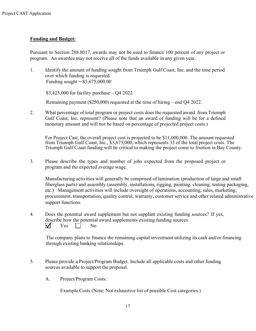#### **Funding and Budget:**

Pursuant to Section 288.8017, awards may not be used to finance 100 percent of any project or program. An awardee may not receive all of the funds available in any given year.

1. Identify the amount of funding sought from Triumph Gulf Coast, Inc. and the time period over which funding is requested. Funding sought =  $$3,675,000.00$ 

\$3,425,000 for facility purchase – Q4 2022.

Remaining payment (\$250,000) requested at the time of hiring – end Q4 2022.

2. What percentage of total program or project costs does the requested award from Triumph Gulf Coast, Inc. represent? (Please note that an award of funding will be for a defined monetary amount and will not be based on percentage of projected project costs.)

For Project Cast, the overall project cost is projected to be \$11,000,000. The amount requested from Triumph Gulf Coast, Inc., \$3,675,000, which represents 33 of the total project costs. The Triumph Gulf Coast funding will be critical to making the project come to fruition in Bay County.

3. Please describe the types and number of jobs expected from the proposed project or program and the expected average wage.

Manufacturing activities will generally be comprised of lamination (production of large and small fiberglass parts) and assembly (assembly, installations, rigging, painting, cleaning, testing packaging, etc.) Management activities will include oversight of operations, accounting, sales, marketing, procurement, transportation, quality control, warranty, customer service and other related administrative support functions.

4. Does the potential award supplement but not supplant existing funding sources? If yes, describe how the potential award supplements existing funding sources.  $\overline{\mathsf{M}}$  $Yes \t No$ 

The company plans to finance the remaining capital investment utilizing its cash and/or financing through existing banking relationships.

- 5. Please provide a Project/Program Budget. Include all applicable costs and other funding sources available to support the proposal.
	- A. Project/Program Costs:

Example Costs (Note: Not exhaustive list of possible Cost categories.)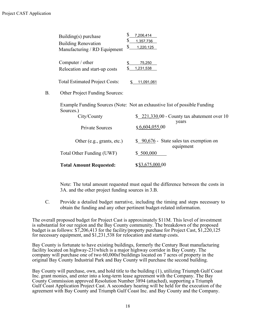|    | Building(s) purchase<br><b>Building Renovation</b><br>Manufacturing / RD Equipment | \$<br>7,206,414<br>\$<br>1,357,736<br>\$<br>1,220,125                     |
|----|------------------------------------------------------------------------------------|---------------------------------------------------------------------------|
|    | Computer / other<br>Relocation and start-up costs                                  | 75,250<br>1,231,538                                                       |
|    | <b>Total Estimated Project Costs:</b>                                              | 11,091,061                                                                |
| В. | <b>Other Project Funding Sources:</b>                                              |                                                                           |
|    | Sources.)                                                                          | Example Funding Sources (Note: Not an exhaustive list of possible Funding |
|    | City/County                                                                        | $$221,330.00$ - County tax abatement over 10<br>years                     |
|    | <b>Private Sources</b>                                                             | \$6,604,055.00                                                            |
|    | Other (e.g., grants, etc.)                                                         | \$ 90,676 - State sales tax exemption on<br>equipment                     |
|    | Total Other Funding (UWF)                                                          | \$500,000                                                                 |
|    | <b>Total Amount Requested:</b>                                                     | \$\$3,675,000.00                                                          |

Note: The total amount requested must equal the difference between the costs in 3A. and the other project funding sources in 3.B.

C. Provide a detailed budget narrative, including the timing and steps necessary to obtain the funding and any other pertinent budget-related information.

The overall proposed budget for Project Cast is approximately \$11M. This level of investment is substantial for our region and the Bay County community. The breakdown of the proposed budget is as follows: \$7,206,413 for the facility/property purchase for Project Cast, \$1,220,125 for necessary equipment, and \$1,231,538 for relocation and startup costs.

Bay County is fortunate to have existing buildings, formerly the Century Boat manufacturing facility located on highway-231which is a major highway corridor in Bay County. The company will purchase one of two 60,000sf buildings located on 7 acres of property in the original Bay County Industrial Park and Bay County will purchase the second building.

Bay County will purchase, own, and hold title to the building (1), utilizing Triumph Gulf Coast Inc. grant monies, and enter into a long-term lease agreement with the Company. The Bay County Commission approved Resolution Number 3894 (attached), supporting a Triumph Gulf Coast Application Project Cast. A secondary hearing will be held for the execution of the agreement with Bay County and Triumph Gulf Coast Inc. and Bay County and the Company.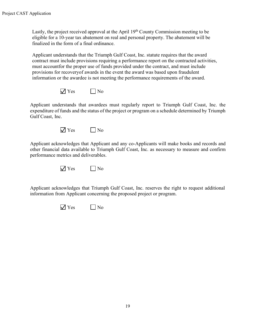Lastly, the project received approval at the April 19<sup>th</sup> County Commission meeting to be eligible for a 10-year tax abatement on real and personal property. The abatement will be finalized in the form of a final ordinance.

Applicant understands that the Triumph Gulf Coast, Inc. statute requires that the award contract must include provisions requiring a performance report on the contracted activities, must accountfor the proper use of funds provided under the contract, and must include provisions for recoveryof awards in the event the award was based upon fraudulent information or the awardee is not meeting the performance requirements of the award.



Applicant understands that awardees must regularly report to Triumph Gulf Coast, Inc. the expenditure of funds and the status of the project or program on a schedule determined by Triumph Gulf Coast, Inc.



Applicant acknowledges that Applicant and any co-Applicants will make books and records and other financial data available to Triumph Gulf Coast, Inc. as necessary to measure and confirm performance metrics and deliverables.



Applicant acknowledges that Triumph Gulf Coast, Inc. reserves the right to request additional information from Applicant concerning the proposed project or program.

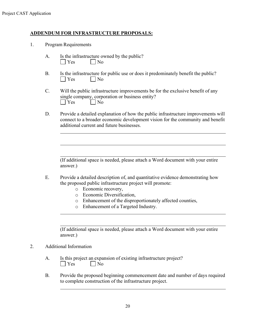#### **ADDENDUM FOR INFRASTRUCTURE PROPOSALS:**

- 1. Program Requirements
	- A. Is the infrastructure owned by the public?  $\Box$  Yes  $\Box$  No
	- B. Is the infrastructure for public use or does it predominately benefit the public? No No
	- C. Will the public infrastructure improvements be for the exclusive benefit of any single company, corporation or business entity?  $\Box$  Yes  $\Box$  No
	- D. Provide a detailed explanation of how the public infrastructure improvements will connect to a broader economic development vision for the community and benefit additional current and future businesses.

(If additional space is needed, please attach a Word document with your entire answer.)

- E. Provide a detailed description of, and quantitative evidence demonstrating how the proposed public infrastructure project will promote:
	- o Economic recovery,
	- o Economic Diversification,
	- o Enhancement of the disproportionately affected counties,
	- o Enhancement of a Targeted Industry.

(If additional space is needed, please attach a Word document with your entire answer.)

#### 2. Additional Information

| A. | Is this project an expansion of existing infrastructure project? |                             |  |  |
|----|------------------------------------------------------------------|-----------------------------|--|--|
|    | $\blacksquare$ Yes                                               | $\overline{\phantom{a}}$ No |  |  |

B. Provide the proposed beginning commencement date and number of days required to complete construction of the infrastructure project.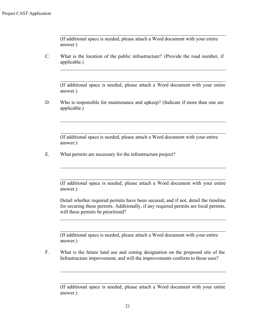(If additional space is needed, please attach a Word document with your entire answer.)

C. What is the location of the public infrastructure? (Provide the road number, if applicable.)

(If additional space is needed, please attach a Word document with your entire answer.)

D. Who is responsible for maintenance and upkeep? (Indicate if more than one are applicable.)

(If additional space is needed, please attach a Word document with your entire answer.)

E. What permits are necessary for the infrastructure project?

(If additional space is needed, please attach a Word document with your entire answer.)

Detail whether required permits have been secured, and if not, detail the timeline for securing these permits. Additionally, if any required permits are local permits, will these permits be prioritized?

(If additional space is needed, please attach a Word document with your entire answer.)

F. What is the future land use and zoning designation on the proposed site of the Infrastructure improvement, and will the improvements conform to those uses?

<sup>(</sup>If additional space is needed, please attach a Word document with your entire answer.)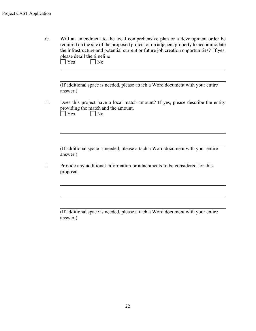| Will an amendment to the local comprehensive plan or a development order be<br>required on the site of the proposed project or on adjacent property to accommodate<br>the infrastructure and potential current or future job creation opportunities? If yes,<br>please detail the timeline<br>Yes<br>N <sub>o</sub> |
|---------------------------------------------------------------------------------------------------------------------------------------------------------------------------------------------------------------------------------------------------------------------------------------------------------------------|
| (If additional space is needed, please attach a Word document with your entire<br>answer.)                                                                                                                                                                                                                          |
| Does this project have a local match amount? If yes, please describe the entity<br>providing the match and the amount.<br>Yes<br>No                                                                                                                                                                                 |
| (If additional space is needed, please attach a Word document with your entire<br>answer.)                                                                                                                                                                                                                          |
| Provide any additional information or attachments to be considered for this<br>proposal.                                                                                                                                                                                                                            |
|                                                                                                                                                                                                                                                                                                                     |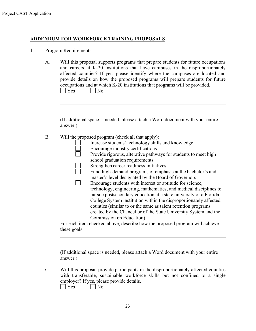#### **ADDENDUM FOR WORKFORCE TRAINING PROPOSALS**

1. Program Requirements

| Will this proposal supports programs that prepare students for future occupations<br>and careers at K-20 institutions that have campuses in the disproportionately<br>affected counties? If yes, please identify where the campuses are located and<br>provide details on how the proposed programs will prepare students for future<br>occupations and at which K-20 institutions that programs will be provided.<br>$\overline{\phantom{a}}$ No<br>Yes                                                                                                                                                                                                                                                                                                                                                                                                                                                                                      |
|-----------------------------------------------------------------------------------------------------------------------------------------------------------------------------------------------------------------------------------------------------------------------------------------------------------------------------------------------------------------------------------------------------------------------------------------------------------------------------------------------------------------------------------------------------------------------------------------------------------------------------------------------------------------------------------------------------------------------------------------------------------------------------------------------------------------------------------------------------------------------------------------------------------------------------------------------|
| (If additional space is needed, please attach a Word document with your entire<br>answer.)                                                                                                                                                                                                                                                                                                                                                                                                                                                                                                                                                                                                                                                                                                                                                                                                                                                    |
| Will the proposed program (check all that apply):<br>Increase students' technology skills and knowledge<br>Encourage industry certifications<br>Provide rigorous, alterative pathways for students to meet high<br>school graduation requirements<br>Strengthen career readiness initiatives<br>Fund high-demand programs of emphasis at the bachelor's and<br>master's level designated by the Board of Governors<br>Encourage students with interest or aptitude for science,<br>technology, engineering, mathematics, and medical disciplines to<br>pursue postsecondary education at a state university or a Florida<br>College System institution within the disproportionately affected<br>counties (similar to or the same as talent retention programs<br>created by the Chancellor of the State University System and the<br>Commission on Education)<br>For each item checked above, describe how the proposed program will achieve |
| these goals                                                                                                                                                                                                                                                                                                                                                                                                                                                                                                                                                                                                                                                                                                                                                                                                                                                                                                                                   |

(If additional space is needed, please attach a Word document with your entire answer.)

C. Will this proposal provide participants in the disproportionately affected counties with transferable, sustainable workforce skills but not confined to a single employer? If yes, please provide details.<br>
Simples Solomon No  $\Box$  No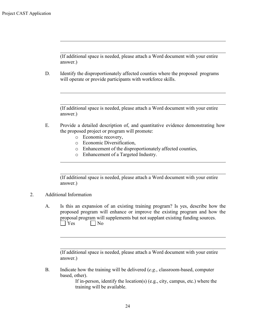(If additional space is needed, please attach a Word document with your entire answer.)

D. Identify the disproportionately affected counties where the proposed programs will operate or provide participants with workforce skills.

(If additional space is needed, please attach a Word document with your entire answer.)

- E. Provide a detailed description of, and quantitative evidence demonstrating how the proposed project or program will promote:
	- o Economic recovery,
	- o Economic Diversification,
	- o Enhancement of the disproportionately affected counties,
	- o Enhancement of a Targeted Industry.

(If additional space is needed, please attach a Word document with your entire answer.)

#### 2. Additional Information

A. Is this an expansion of an existing training program? Is yes, describe how the proposed program will enhance or improve the existing program and how the proposal program will supplements but not supplant existing funding sources.  $\bigcap$  Yes  $\bigcap$  No

(If additional space is needed, please attach a Word document with your entire answer.)

B. Indicate how the training will be delivered (*e.g.*, classroom-based, computer based, other).

> If in-person, identify the location(s) (e.g., city, campus, etc.) where the training will be available.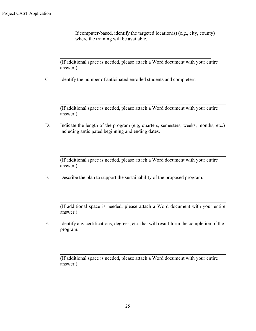If computer-based, identify the targeted location(s) (e.g., city, county) where the training will be available.

(If additional space is needed, please attach a Word document with your entire answer.)

C. Identify the number of anticipated enrolled students and completers.

(If additional space is needed, please attach a Word document with your entire answer.)

D. Indicate the length of the program (e.g, quarters, semesters, weeks, months, etc.) including anticipated beginning and ending dates.

(If additional space is needed, please attach a Word document with your entire answer.)

E. Describe the plan to support the sustainability of the proposed program.

(If additional space is needed, please attach a Word document with your entire answer.)

F. Identify any certifications, degrees, etc. that will result form the completion of the program.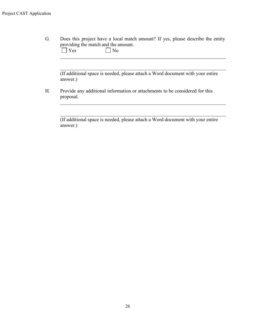G. Does this project have a local match amount? If yes, please describe the entity providing the match and the amount.<br> $\Box$  Yes  $\Box$  No  $\Box$  No

(If additional space is needed, please attach a Word document with your entire answer.)

H. Provide any additional information or attachments to be considered for this proposal.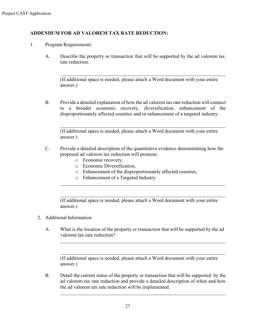#### **ADDENDUM FOR AD VALOREM TAX RATE REDUCTION:**

- 1. Program Requirements
	- A. Describe the property or transaction that will be supported by the ad valorem tax rate reduction.

(If additional space is needed, please attach a Word document with your entire answer.)

B. Provide a detailed explanation of how the ad valorem tax rate reduction will connect to a broader economic recovery, diversification, enhancement of the disproportionately affected counties and/or enhancement of a targeted industry.

(If additional space is needed, please attach a Word document with your entire answer.)

- C. Provide a detailed description of the quantitative evidence demonstrating how the proposed ad valorem tax reduction will promote:
	- o Economic recovery,
	- o Economic Diversification,
	- o Enhancement of the disproportionately affected counties,
	- o Enhancement of a Targeted Industry.

(If additional space is needed, please attach a Word document with your entire answer.)

#### 2. Additional Information

A. What is the location of the property or transaction that will be supported by the ad valorem tax rate reduction?

(If additional space is needed, please attach a Word document with your entire answer.)

B. Detail the current status of the property or transaction that will be supported by the ad valorem tax rate reduction and provide a detailed description of when and how the ad valorem tax rate reduction will be implemented.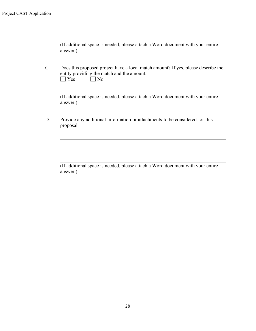(If additional space is needed, please attach a Word document with your entire answer.)

C. Does this proposed project have a local match amount? If yes, please describe the entity providing the match and the amount.  $\bigcap$  Yes  $\bigcap$  No

(If additional space is needed, please attach a Word document with your entire answer.)

D. Provide any additional information or attachments to be considered for this proposal.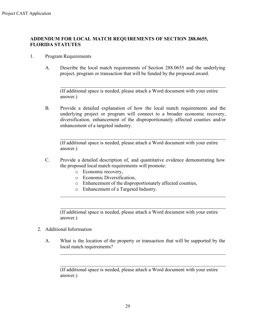#### **ADDENDUM FOR LOCAL MATCH REQUIREMENTS OF SECTION 288.0655, FLORIDA STATUTES**

- 1. Program Requirements
	- A. Describe the local match requirements of Section 288.0655 and the underlying project, program or transaction that will be funded by the proposed award.

(If additional space is needed, please attach a Word document with your entire answer.)

B. Provide a detailed explanation of how the local match requirements and the underlying project or program will connect to a broader economic recovery, diversification, enhancement of the disproportionately affected counties and/or enhancement of a targeted industry.

(If additional space is needed, please attach a Word document with your entire answer.)

- C. Provide a detailed description of, and quantitative evidence demonstrating how the proposed local match requirements will promote:
	- o Economic recovery,
	- o Economic Diversification,
	- o Enhancement of the disproportionately affected counties,
	- o Enhancement of a Targeted Industry.

(If additional space is needed, please attach a Word document with your entire answer.)

- 2. Additional Information
	- A. What is the location of the property or transaction that will be supported by the local match requirements?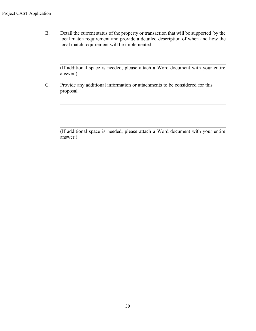B. Detail the current status of the property or transaction that will be supported by the local match requirement and provide a detailed description of when and how the local match requirement will be implemented.

(If additional space is needed, please attach a Word document with your entire answer.)

C. Provide any additional information or attachments to be considered for this proposal.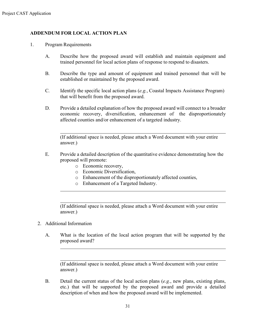#### **ADDENDUM FOR LOCAL ACTION PLAN**

- 1. Program Requirements
	- A. Describe how the proposed award will establish and maintain equipment and trained personnel for local action plans of response to respond to disasters.
	- B. Describe the type and amount of equipment and trained personnel that will be established or maintained by the proposed award.
	- C. Identify the specific local action plans (*e.g.*, Coastal Impacts Assistance Program) that will benefit from the proposed award.
	- D. Provide a detailed explanation of how the proposed award will connect to a broader economic recovery, diversification, enhancement of the disproportionately affected counties and/or enhancement of a targeted industry.

(If additional space is needed, please attach a Word document with your entire answer.)

- E. Provide a detailed description of the quantitative evidence demonstrating how the proposed will promote:
	- o Economic recovery,
	- o Economic Diversification,
	- o Enhancement of the disproportionately affected counties,
	- o Enhancement of a Targeted Industry.

(If additional space is needed, please attach a Word document with your entire answer.)

- 2. Additional Information
	- A. What is the location of the local action program that will be supported by the proposed award?

(If additional space is needed, please attach a Word document with your entire answer.)

B. Detail the current status of the local action plans (*e.g.*, new plans, existing plans, etc.) that will be supported by the proposed award and provide a detailed description of when and how the proposed award will be implemented.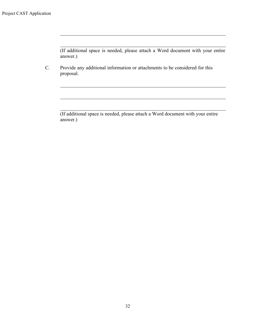(If additional space is needed, please attach a Word document with your entire answer.)

C. Provide any additional information or attachments to be considered for this proposal.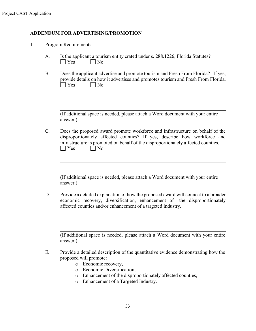#### **ADDENDUM FOR ADVERTISING/PROMOTION**

| 1. | Program Requirements |
|----|----------------------|
|----|----------------------|

- A. Is the applicant a tourism entity crated under s. 288.1226, Florida Statutes?  $|$   $|$   $Y$ es  $|$   $|$   $N$ o
- B. Does the applicant advertise and promote tourism and Fresh From Florida? If yes, provide details on how it advertises and promotes tourism and Fresh From Florida. No No

(If additional space is needed, please attach a Word document with your entire answer.)

C. Does the proposed award promote workforce and infrastructure on behalf of the disproportionately affected counties? If yes, describe how workforce and infrastructure is promoted on behalf of the disproportionately affected counties.  $\Box$  Yes  $\Box$  No

(If additional space is needed, please attach a Word document with your entire answer.)

D. Provide a detailed explanation of how the proposed award will connect to a broader economic recovery, diversification, enhancement of the disproportionately affected counties and/or enhancement of a targeted industry.

- E. Provide a detailed description of the quantitative evidence demonstrating how the proposed will promote:
	- o Economic recovery,
	- o Economic Diversification,
	- o Enhancement of the disproportionately affected counties,
	- o Enhancement of a Targeted Industry.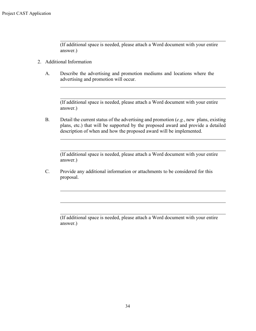(If additional space is needed, please attach a Word document with your entire answer.)

- 2. Additional Information
	- A. Describe the advertising and promotion mediums and locations where the advertising and promotion will occur.

(If additional space is needed, please attach a Word document with your entire answer.)

B. Detail the current status of the advertising and promotion (*e.g.*, new plans, existing plans, etc.) that will be supported by the proposed award and provide a detailed description of when and how the proposed award will be implemented.

(If additional space is needed, please attach a Word document with your entire answer.)

C. Provide any additional information or attachments to be considered for this proposal.